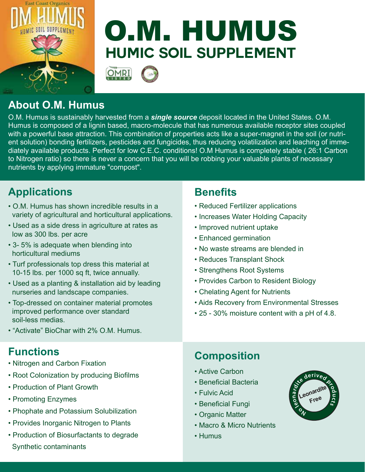

# **Humic Soil Supplement** O.M. HUMUS



# **About O.M. Humus**

O.M. Humus is sustainably harvested from a *single source* deposit located in the United States. O.M. Humus is composed of a lignin based, macro-molecule that has numerous available receptor sites coupled with a powerful base attraction. This combination of properties acts like a super-magnet in the soil (or nutrient solution) bonding fertilizers, pesticides and fungicides, thus reducing volatilization and leaching of immediately available products. Perfect for low C.E.C. conditions! O.M Humus is completely stable ( 26:1 Carbon to Nitrogen ratio) so there is never a concern that you will be robbing your valuable plants of necessary nutrients by applying immature "compost".

# **Applications**

- O.M. Humus has shown incredible results in a variety of agricultural and horticultural applications.
- Used as a side dress in agriculture at rates as low as 300 lbs. per acre
- 3- 5% is adequate when blending into horticultural mediums
- Turf professionals top dress this material at 10-15 lbs. per 1000 sq ft, twice annually.
- Used as a planting & installation aid by leading nurseries and landscape companies.
- Top-dressed on container material promotes improved performance over standard soil-less medias.
- "Activate" BioChar with 2% O.M. Humus.

#### **Functions**

- Nitrogen and Carbon Fixation
- Root Colonization by producing Biofilms
- Production of Plant Growth
- Promoting Enzymes
- Phophate and Potassium Solubilization
- Provides Inorganic Nitrogen to Plants
- Production of Biosurfactants to degrade Synthetic contaminants

#### **Benefits**

- Reduced Fertilizer applications
- Increases Water Holding Capacity
- Improved nutrient uptake
- Enhanced germination
- No waste streams are blended in
- Reduces Transplant Shock
- Strengthens Root Systems
- Provides Carbon to Resident Biology
- Chelating Agent for Nutrients
- Aids Recovery from Environmental Stresses
- 25 30% moisture content with a pH of 4.8.

# **Composition**

- Active Carbon
- Beneficial Bacteria
- Fulvic Acid
- Beneficial Fungi
- Organic Matter
- Macro & Micro Nutrients
- Humus